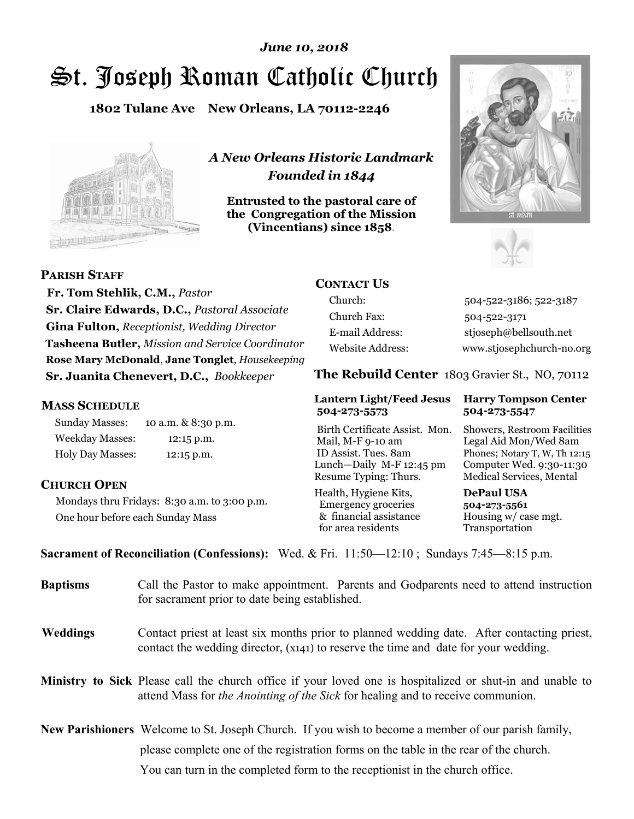# St. Joseph Roman Catholic Church *June 10, 2018*

**1802 Tulane Ave New Orleans, LA 70112-2246**



*A New Orleans Historic Landmark Founded in 1844* 

**Entrusted to the pastoral care of the Congregation of the Mission (Vincentians) since 1858**.





**PARISH STAFF**

 **Fr. Tom Stehlik, C.M.,** *Pastor* **Sr. Claire Edwards, D.C.,** *Pastoral Associate* **Gina Fulton,** *Receptionist, Wedding Director* **Tasheena Butler,** *Mission and Service Coordinator* **Rose Mary McDonald**, **Jane Tonglet**, *Housekeeping* **Sr. Juanita Chenevert, D.C.,** *Bookkeeper* 

#### **MASS SCHEDULE**

Sunday Masses: 10 a.m. & 8:30 p.m. Weekday Masses: 12:15 p.m. Holy Day Masses: 12:15 p.m.

#### **CHURCH OPEN**

Mondays thru Fridays: 8:30 a.m. to 3:00 p.m. One hour before each Sunday Mass

# **CONTACT US**

Church: 504-522-3186; 522-3187 Church Fax: 504-522-3171 E-mail Address: stjoseph@bellsouth.net Website Address: www.stjosephchurch-no.org

**The Rebuild Center** 1803 Gravier St., NO, 70112

#### **Lantern Light/Feed Jesus Harry Tompson Center 504-273-5573 504-273-5547**

Birth Certificate Assist. Mon. Showers, Restroom Facilities Mail, M-F 9-10 am Legal Aid Mon/Wed 8am ID Assist. Tues. 8am Phones; Notary T, W, Th 12:15 Lunch—Daily M-F 12:45 pm Computer Wed. 9:30-11:30 Resume Typing: Thurs. Medical Services, Mental

Health, Hygiene Kits, **DePaul USA**  Emergency groceries **504-273-5561** & financial assistance Housing w/ case mgt.<br>for area residents Transportation for area residents

**Sacrament of Reconciliation (Confessions):** Wed. & Fri. 11:50—12:10 ; Sundays 7:45—8:15 p.m.

| <b>Baptisms</b> | Call the Pastor to make appointment. Parents and Godparents need to attend instruction<br>for sacrament prior to date being established.                                                            |  |
|-----------------|-----------------------------------------------------------------------------------------------------------------------------------------------------------------------------------------------------|--|
| <b>Weddings</b> | Contact priest at least six months prior to planned wedding date. After contacting priest,<br>contact the wedding director, (x141) to reserve the time and date for your wedding.                   |  |
|                 | <b>Ministry to Sick</b> Please call the church office if your loved one is hospitalized or shut-in and unable to<br>attend Mass for the Anointing of the Sick for healing and to receive communion. |  |
|                 | <b>New Parishioners</b> Welcome to St. Joseph Church. If you wish to become a member of our parish family,                                                                                          |  |
|                 | please complete one of the registration forms on the table in the rear of the church.                                                                                                               |  |
|                 | You can turn in the completed form to the reception is the church office.                                                                                                                           |  |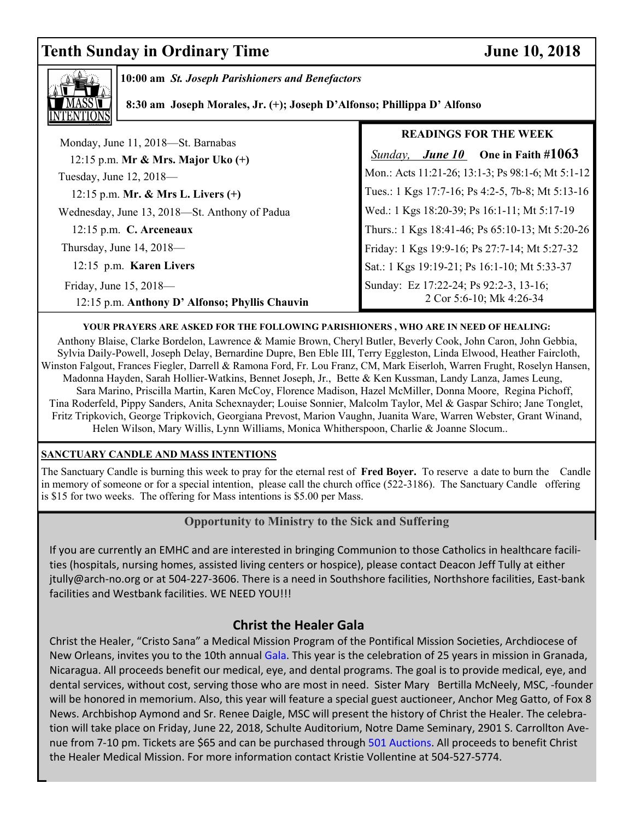# **Tenth Sunday in Ordinary Time**  June 10, 2018



 **10:00 am** *St. Joseph Parishioners and Benefactors*

 **8:30 am Joseph Morales, Jr. (+); Joseph D'Alfonso; Phillippa D' Alfonso**

| Monday, June 11, 2018-St. Barnabas                                          | <b>READINGS FOR THE WEEK</b>                                       |
|-----------------------------------------------------------------------------|--------------------------------------------------------------------|
| 12:15 p.m. Mr & Mrs. Major Uko $(+)$                                        | <i>June 10</i> One in Faith #1063<br>Sunday,                       |
| Tuesday, June 12, 2018-                                                     | Mon.: Acts 11:21-26; 13:1-3; Ps 98:1-6; Mt 5:1-12                  |
| 12:15 p.m. Mr. & Mrs L. Livers $(+)$                                        | Tues.: 1 Kgs 17:7-16; Ps 4:2-5, 7b-8; Mt 5:13-16                   |
| Wednesday, June 13, 2018—St. Anthony of Padua                               | Wed.: 1 Kgs 18:20-39; Ps 16:1-11; Mt 5:17-19                       |
| $12:15$ p.m. C. Arceneaux                                                   | Thurs.: 1 Kgs 18:41-46; Ps 65:10-13; Mt 5:20-26                    |
| Thursday, June $14, 2018$ —                                                 | Friday: 1 Kgs 19:9-16; Ps 27:7-14; Mt 5:27-32                      |
| 12:15 p.m. Karen Livers                                                     | Sat.: 1 Kgs 19:19-21; Ps 16:1-10; Mt 5:33-37                       |
| Friday, June $15, 2018$ —<br>12:15 p.m. Anthony D' Alfonso; Phyllis Chauvin | Sunday: Ez 17:22-24; Ps 92:2-3, 13-16;<br>2 Cor 5:6-10; Mk 4:26-34 |

#### **YOUR PRAYERS ARE ASKED FOR THE FOLLOWING PARISHIONERS , WHO ARE IN NEED OF HEALING:**

 Anthony Blaise, Clarke Bordelon, Lawrence & Mamie Brown, Cheryl Butler, Beverly Cook, John Caron, John Gebbia, Sylvia Daily-Powell, Joseph Delay, Bernardine Dupre, Ben Eble III, Terry Eggleston, Linda Elwood, Heather Faircloth, Winston Falgout, Frances Fiegler, Darrell & Ramona Ford, Fr. Lou Franz, CM, Mark Eiserloh, Warren Frught, Roselyn Hansen, Madonna Hayden, Sarah Hollier-Watkins, Bennet Joseph, Jr., Bette & Ken Kussman, Landy Lanza, James Leung, Sara Marino, Priscilla Martin, Karen McCoy, Florence Madison, Hazel McMiller, Donna Moore, Regina Pichoff, Tina Roderfeld, Pippy Sanders, Anita Schexnayder; Louise Sonnier, Malcolm Taylor, Mel & Gaspar Schiro; Jane Tonglet, Fritz Tripkovich, George Tripkovich, Georgiana Prevost, Marion Vaughn, Juanita Ware, Warren Webster, Grant Winand, Helen Wilson, Mary Willis, Lynn Williams, Monica Whitherspoon, Charlie & Joanne Slocum..

#### **SANCTUARY CANDLE AND MASS INTENTIONS**

The Sanctuary Candle is burning this week to pray for the eternal rest of **Fred Boyer.** To reserve a date to burn the Candle in memory of someone or for a special intention, please call the church office (522-3186). The Sanctuary Candle offering is \$15 for two weeks. The offering for Mass intentions is \$5.00 per Mass.

#### **Opportunity to Ministry to the Sick and Suffering**

If you are currently an EMHC and are interested in bringing Communion to those Catholics in healthcare facilities (hospitals, nursing homes, assisted living centers or hospice), please contact Deacon Jeff Tully at either jtully@arch-no.org or at 504-227-3606. There is a need in Southshore facilities, Northshore facilities, East-bank facilities and Westbank facilities. WE NEED YOU!!!

### **Christ the Healer Gala**

Christ the Healer, "Cristo Sana" a Medical Mission Program of the Pontifical Mission Societies, Archdiocese of New Orleans, invites you to the 10th annual Gala. This year is the celebration of 25 years in mission in Granada, Nicaragua. All proceeds benefit our medical, eye, and dental programs. The goal is to provide medical, eye, and dental services, without cost, serving those who are most in need. Sister Mary Bertilla McNeely, MSC, -founder will be honored in memorium. Also, this year will feature a special guest auctioneer, Anchor Meg Gatto, of Fox 8 News. Archbishop Aymond and Sr. Renee Daigle, MSC will present the history of Christ the Healer. The celebration will take place on Friday, June 22, 2018, Schulte Auditorium, Notre Dame Seminary, 2901 S. Carrollton Avenue from 7-10 pm. Tickets are \$65 and can be purchased through 501 Auctions. All proceeds to benefit Christ the Healer Medical Mission. For more information contact Kristie Vollentine at 504-527-5774.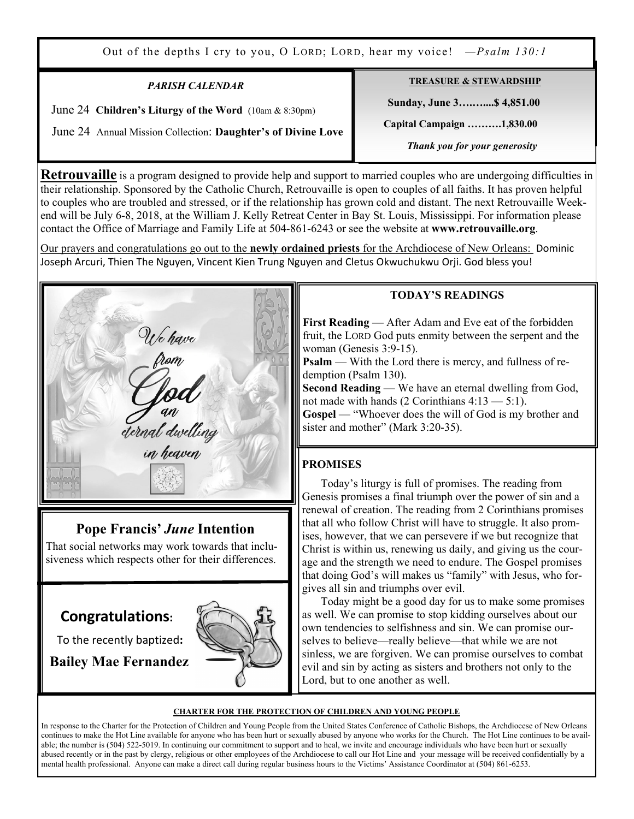Out of the depths I cry to you, O LORD; LORD, hear my voice! *—Psalm 130:1*

#### *PARISH CALENDAR*

June 24 **Children's Liturgy of the Word** (10am & 8:30pm)

June 24 Annual Mission Collection: **Daughter's of Divine Love**

**TREASURE & STEWARDSHIP**

 **Sunday, June 3….…....\$ 4,851.00** 

 **Capital Campaign ……….1,830.00** 

 *Thank you for your generosity* 

**Retrouvaille** is a program designed to provide help and support to married couples who are undergoing difficulties in their relationship. Sponsored by the Catholic Church, Retrouvaille is open to couples of all faiths. It has proven helpful to couples who are troubled and stressed, or if the relationship has grown cold and distant. The next Retrouvaille Weekend will be July 6-8, 2018, at the William J. Kelly Retreat Center in Bay St. Louis, Mississippi. For information please contact the Office of Marriage and Family Life at 504-861-6243 or see the website at **www.retrouvaille.org**.

Our prayers and congratulations go out to the **newly ordained priests** for the Archdiocese of New Orleans: Dominic Joseph Arcuri, Thien The Nguyen, Vincent Kien Trung Nguyen and Cletus Okwuchukwu Orji. God bless you!



# **Pope Francis'** *June* **Intention**

That social networks may work towards that inclusiveness which respects other for their differences.

# **Congratulations:**

To the recently baptized**:** 

**Bailey Mae Fernandez**



#### **TODAY'S READINGS**

**First Reading** — After Adam and Eve eat of the forbidden fruit, the LORD God puts enmity between the serpent and the woman (Genesis 3:9-15).

**Psalm** — With the Lord there is mercy, and fullness of redemption (Psalm 130).

**Second Reading** — We have an eternal dwelling from God, not made with hands  $(2$  Corinthians  $4:13 - 5:1$ ).

**Gospel** — "Whoever does the will of God is my brother and sister and mother" (Mark 3:20-35).

#### **PROMISES**

 Today's liturgy is full of promises. The reading from Genesis promises a final triumph over the power of sin and a renewal of creation. The reading from 2 Corinthians promises that all who follow Christ will have to struggle. It also promises, however, that we can persevere if we but recognize that Christ is within us, renewing us daily, and giving us the courage and the strength we need to endure. The Gospel promises that doing God's will makes us "family" with Jesus, who forgives all sin and triumphs over evil.

 Today might be a good day for us to make some promises as well. We can promise to stop kidding ourselves about our own tendencies to selfishness and sin. We can promise ourselves to believe—really believe—that while we are not sinless, we are forgiven. We can promise ourselves to combat evil and sin by acting as sisters and brothers not only to the Lord, but to one another as well.

#### **CHARTER FOR THE PROTECTION OF CHILDREN AND YOUNG PEOPLE**

In response to the Charter for the Protection of Children and Young People from the United States Conference of Catholic Bishops, the Archdiocese of New Orleans continues to make the Hot Line available for anyone who has been hurt or sexually abused by anyone who works for the Church. The Hot Line continues to be available; the number is (504) 522-5019. In continuing our commitment to support and to heal, we invite and encourage individuals who have been hurt or sexually abused recently or in the past by clergy, religious or other employees of the Archdiocese to call our Hot Line and your message will be received confidentially by a mental health professional. Anyone can make a direct call during regular business hours to the Victims' Assistance Coordinator at (504) 861-6253.